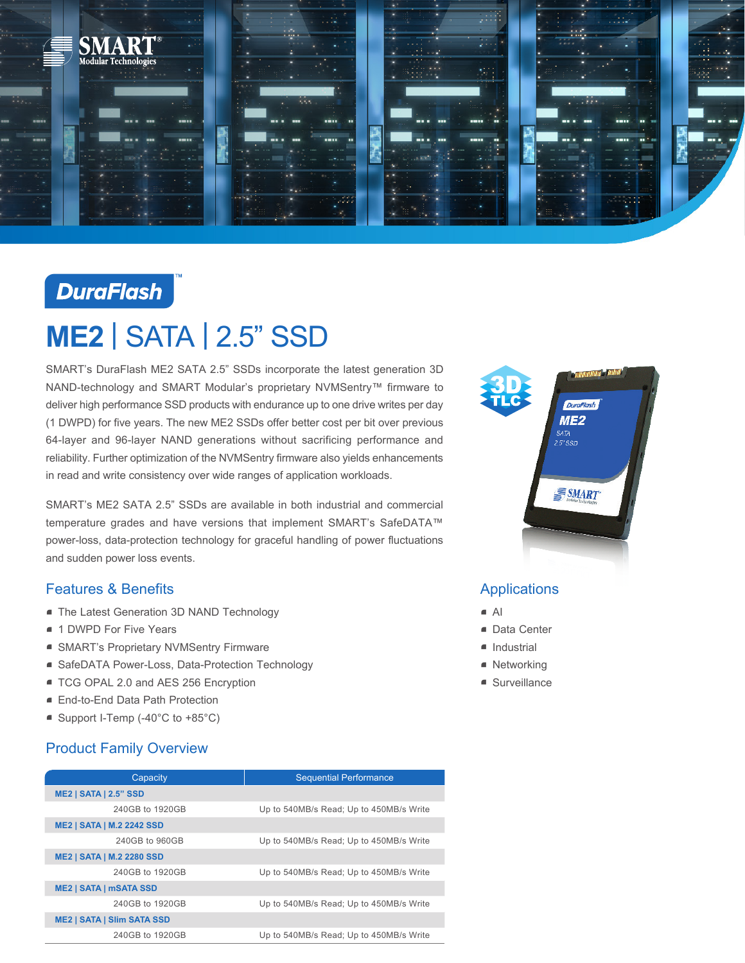

## **DuraFlash**

# **ME2** | SATA | 2.5" SSD

SMART's DuraFlash ME2 SATA 2.5" SSDs incorporate the latest generation 3D NAND-technology and SMART Modular's proprietary NVMSentry™ firmware to deliver high performance SSD products with endurance up to one drive writes per day (1 DWPD) for five years. The new ME2 SSDs offer better cost per bit over previous 64-layer and 96-layer NAND generations without sacrificing performance and reliability. Further optimization of the NVMSentry firmware also yields enhancements in read and write consistency over wide ranges of application workloads.

SMART's ME2 SATA 2.5" SSDs are available in both industrial and commercial temperature grades and have versions that implement SMART's SafeDATA™ power-loss, data-protection technology for graceful handling of power fluctuations and sudden power loss events.

#### Features & Benefits

- **The Latest Generation 3D NAND Technology**
- **1 DWPD For Five Years**
- SMART's Proprietary NVMSentry Firmware
- SafeDATA Power-Loss, Data-Protection Technology
- **TCG OPAL 2.0 and AES 256 Encryption**
- End-to-End Data Path Protection
- Support I-Temp (-40°C to +85°C)

#### Product Family Overview

| Capacity                          | <b>Sequential Performance</b>           |
|-----------------------------------|-----------------------------------------|
| <b>ME2   SATA   2.5" SSD</b>      |                                         |
| 240GB to 1920GB                   | Up to 540MB/s Read; Up to 450MB/s Write |
| <b>ME2   SATA   M.2 2242 SSD</b>  |                                         |
| 240GB to 960GB                    | Up to 540MB/s Read; Up to 450MB/s Write |
| <b>ME2   SATA   M.2 2280 SSD</b>  |                                         |
| 240GB to 1920GB                   | Up to 540MB/s Read; Up to 450MB/s Write |
| <b>ME2   SATA   mSATA SSD</b>     |                                         |
| 240GB to 1920GB                   | Up to 540MB/s Read; Up to 450MB/s Write |
| <b>ME2   SATA   SIIm SATA SSD</b> |                                         |
| 240GB to 1920GB                   | Up to 540MB/s Read; Up to 450MB/s Write |



### **Applications**

- $\blacksquare$  AI
- Data Center
- **•** Industrial
- Networking
- Surveillance